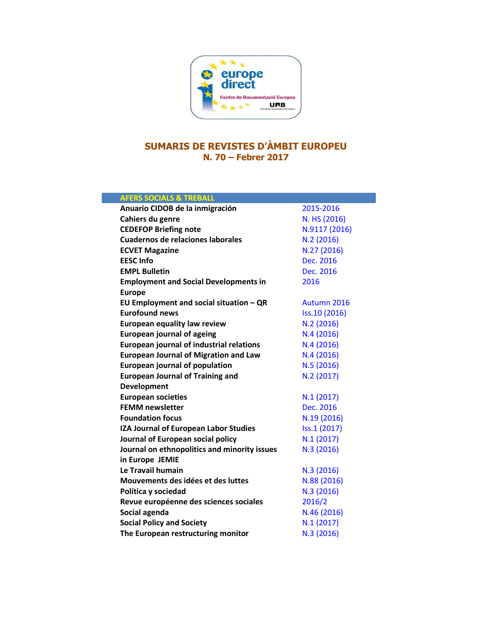

## **SUMARIS DE REVISTES D'ÀMBIT EUROPEU N. 70 – Febrer 2017**

| <b>AFERS SOCIALS &amp; TREBALL</b>              |               |
|-------------------------------------------------|---------------|
| Anuario CIDOB de la inmigración                 | 2015-2016     |
| Cahiers du genre                                | N. HS (2016)  |
| <b>CEDEFOP Briefing note</b>                    | N.9117 (2016) |
| Cuadernos de relaciones laborales               | N.2(2016)     |
| <b>ECVET Magazine</b>                           | N.27 (2016)   |
| <b>EESC Info</b>                                | Dec. 2016     |
| <b>EMPL Bulletin</b>                            | Dec. 2016     |
| <b>Employment and Social Developments in</b>    | 2016          |
| <b>Europe</b>                                   |               |
| EU Employment and social situation $-QR$        | Autumn 2016   |
| <b>Eurofound news</b>                           | Iss.10 (2016) |
| <b>European equality law review</b>             | N.2 (2016)    |
| <b>European journal of ageing</b>               | N.4(2016)     |
| <b>European journal of industrial relations</b> | N.4(2016)     |
| <b>European Journal of Migration and Law</b>    | N.4(2016)     |
| <b>European journal of population</b>           | N.5(2016)     |
| <b>European Journal of Training and</b>         | N.2 (2017)    |
| <b>Development</b>                              |               |
| <b>European societies</b>                       | N.1(2017)     |
| <b>FEMM newsletter</b>                          | Dec. 2016     |
| <b>Foundation focus</b>                         | N.19 (2016)   |
| IZA Journal of European Labor Studies           | Iss.1 (2017)  |
| Journal of European social policy               | N.1(2017)     |
| Journal on ethnopolitics and minority issues    | N.3 (2016)    |
| in Europe JEMIE                                 |               |
| Le Travail humain                               | N.3 (2016)    |
| Mouvements des idées et des luttes              | N.88 (2016)   |
| Política y sociedad                             | N.3 (2016)    |
| Revue européenne des sciences sociales          | 2016/2        |
| Social agenda                                   | N.46 (2016)   |
| <b>Social Policy and Society</b>                | N.1(2017)     |
| The European restructuring monitor              | N.3 (2016)    |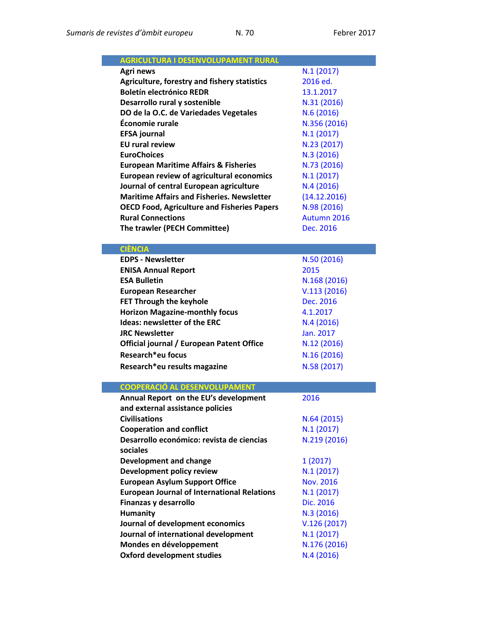| <b>AGRICULTURA I DESENVOLUPAMENT RURAL</b>         |                  |
|----------------------------------------------------|------------------|
| Agri news                                          | N.1(2017)        |
| Agriculture, forestry and fishery statistics       | 2016 ed.         |
| <b>Boletín electrónico REDR</b>                    | 13.1.2017        |
| Desarrollo rural y sostenible                      | N.31 (2016)      |
| DO de la O.C. de Variedades Vegetales              | N.6(2016)        |
| Économie rurale                                    | N.356 (2016)     |
| <b>EFSA journal</b>                                | N.1(2017)        |
| <b>EU rural review</b>                             | N.23 (2017)      |
| <b>EuroChoices</b>                                 | N.3 (2016)       |
| <b>European Maritime Affairs &amp; Fisheries</b>   | N.73 (2016)      |
| <b>European review of agricultural economics</b>   | N.1(2017)        |
| Journal of central European agriculture            | N.4(2016)        |
| <b>Maritime Affairs and Fisheries. Newsletter</b>  | (14.12.2016)     |
| <b>OECD Food, Agriculture and Fisheries Papers</b> | N.98 (2016)      |
| <b>Rural Connections</b>                           | Autumn 2016      |
| The trawler (PECH Committee)                       | Dec. 2016        |
|                                                    |                  |
| <b>CIÈNCIA</b>                                     |                  |
| <b>EDPS - Newsletter</b>                           | N.50 (2016)      |
| <b>ENISA Annual Report</b>                         | 2015             |
| <b>ESA Bulletin</b>                                | N.168 (2016)     |
| <b>European Researcher</b>                         | V.113(2016)      |
| FET Through the keyhole                            | Dec. 2016        |
| <b>Horizon Magazine-monthly focus</b>              | 4.1.2017         |
| <b>Ideas: newsletter of the ERC</b>                | N.4(2016)        |
| <b>JRC Newsletter</b>                              | Jan. 2017        |
| Official journal / European Patent Office          | N.12 (2016)      |
| Research*eu focus                                  | N.16(2016)       |
| Research*eu results magazine                       | N.58 (2017)      |
|                                                    |                  |
| COOPERACIÓ AL DESENVOLUPAMENT                      |                  |
| Annual Report on the EU's development              | 2016             |
| and external assistance policies                   |                  |
| <b>Civilisations</b>                               | N.64(2015)       |
| <b>Cooperation and conflict</b>                    | N.1(2017)        |
| Desarrollo económico: revista de ciencias          | N.219 (2016)     |
| sociales                                           |                  |
| <b>Development and change</b>                      | 1(2017)          |
| Development policy review                          | N.1(2017)        |
| <b>European Asylum Support Office</b>              | <b>Nov. 2016</b> |
| <b>European Journal of International Relations</b> | N.1(2017)        |
| Finanzas y desarrollo                              | Dic. 2016        |
| Humanity                                           | N.3(2016)        |
| Journal of development economics                   | V.126(2017)      |
| Journal of international development               | N.1(2017)        |
| Mondes en développement                            | N.176 (2016)     |
| <b>Oxford development studies</b>                  | N.4 (2016)       |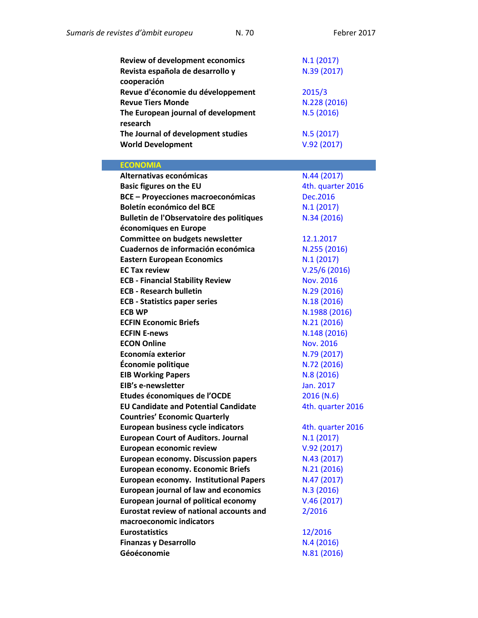| <b>Review of development economics</b>           | N.1(2017)         |
|--------------------------------------------------|-------------------|
| Revista española de desarrollo y                 | N.39 (2017)       |
| cooperación                                      |                   |
| Revue d'économie du développement                | 2015/3            |
| <b>Revue Tiers Monde</b>                         | N.228 (2016)      |
| The European journal of development              | N.5 (2016)        |
| research                                         |                   |
| The Journal of development studies               | N.5(2017)         |
| <b>World Development</b>                         | V.92(2017)        |
|                                                  |                   |
| <b>ECONOMIA</b>                                  |                   |
| Alternativas económicas                          | N.44 (2017)       |
| <b>Basic figures on the EU</b>                   | 4th. quarter 2016 |
| <b>BCE - Proyecciones macroeconómicas</b>        | <b>Dec.2016</b>   |
| <b>Boletín económico del BCE</b>                 | N.1(2017)         |
| <b>Bulletin de l'Observatoire des politiques</b> | N.34 (2016)       |
| économiques en Europe                            |                   |
| Committee on budgets newsletter                  | 12.1.2017         |
| Cuadernos de información económica               | N.255 (2016)      |
| <b>Eastern European Economics</b>                | N.1(2017)         |
| <b>EC Tax review</b>                             | V.25/6(2016)      |
| <b>ECB - Financial Stability Review</b>          | <b>Nov. 2016</b>  |
| <b>ECB - Research bulletin</b>                   | N.29 (2016)       |
| <b>ECB - Statistics paper series</b>             | N.18 (2016)       |
| <b>ECB WP</b>                                    | N.1988 (2016)     |
| <b>ECFIN Economic Briefs</b>                     | N.21(2016)        |
| <b>ECFIN E-news</b>                              | N.148 (2016)      |
| <b>ECON Online</b>                               | <b>Nov. 2016</b>  |
| Economía exterior                                | N.79 (2017)       |
| Économie politique                               | N.72 (2016)       |
| <b>EIB Working Papers</b>                        | N.8 (2016)        |
| EIB's e-newsletter                               | Jan. 2017         |
| Etudes économiques de l'OCDE                     | 2016 (N.6)        |
| <b>EU Candidate and Potential Candidate</b>      | 4th. quarter 2016 |
| <b>Countries' Economic Quarterly</b>             |                   |
| <b>European business cycle indicators</b>        | 4th. quarter 2016 |
| <b>European Court of Auditors. Journal</b>       | N.1(2017)         |
| European economic review                         | V.92(2017)        |
| <b>European economy. Discussion papers</b>       | N.43 (2017)       |
| <b>European economy. Economic Briefs</b>         | N.21 (2016)       |
| <b>European economy. Institutional Papers</b>    | N.47 (2017)       |
| <b>European journal of law and economics</b>     | N.3(2016)         |
| <b>European journal of political economy</b>     | V.46(2017)        |
| <b>Eurostat review of national accounts and</b>  | 2/2016            |
| macroeconomic indicators                         |                   |
| <b>Eurostatistics</b>                            | 12/2016           |
| <b>Finanzas y Desarrollo</b>                     | N.4(2016)         |
| Géoéconomie                                      | N.81 (2016)       |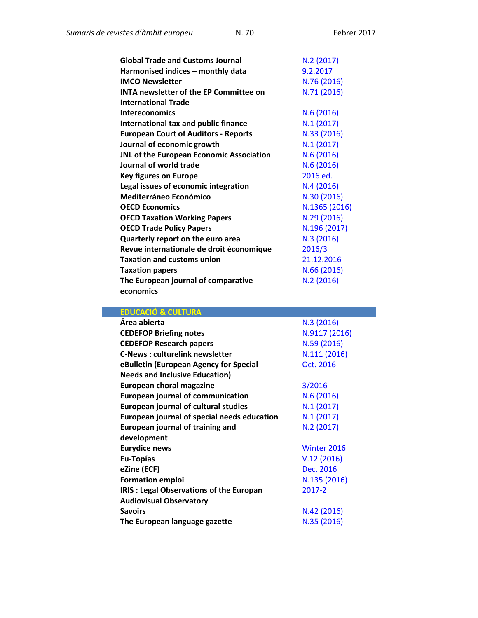| <b>Global Trade and Customs Journal</b>       | N.2(2017)     |
|-----------------------------------------------|---------------|
| Harmonised indices - monthly data             | 9.2.2017      |
| <b>IMCO Newsletter</b>                        | N.76 (2016)   |
| <b>INTA newsletter of the EP Committee on</b> | N.71 (2016)   |
| <b>International Trade</b>                    |               |
| <b>Intereconomics</b>                         | N.6(2016)     |
| International tax and public finance          | N.1(2017)     |
| <b>European Court of Auditors - Reports</b>   | N.33 (2016)   |
| Journal of economic growth                    | N.1(2017)     |
| JNL of the European Economic Association      | N.6(2016)     |
| Journal of world trade                        | N.6(2016)     |
| <b>Key figures on Europe</b>                  | 2016 ed.      |
| Legal issues of economic integration          | N.4(2016)     |
| <b>Mediterráneo Económico</b>                 | N.30 (2016)   |
| <b>OECD Economics</b>                         | N.1365 (2016) |
| <b>OECD Taxation Working Papers</b>           | N.29 (2016)   |
| <b>OECD Trade Policy Papers</b>               | N.196 (2017)  |
| Quarterly report on the euro area             | N.3 (2016)    |
| Revue internationale de droit économique      | 2016/3        |
| <b>Taxation and customs union</b>             | 21.12.2016    |
| <b>Taxation papers</b>                        | N.66 (2016)   |
| The European journal of comparative           | N.2(2016)     |
| economics                                     |               |

| <b>EDUCACIÓ &amp; CULTURA</b>                  |               |
|------------------------------------------------|---------------|
| Área abierta                                   | N.3 (2016)    |
| <b>CEDEFOP Briefing notes</b>                  | N.9117 (2016) |
| <b>CEDEFOP Research papers</b>                 | N.59 (2016)   |
| <b>C-News: culturelink newsletter</b>          | N.111 (2016)  |
| eBulletin (European Agency for Special         | Oct. 2016     |
| <b>Needs and Inclusive Education)</b>          |               |
| European choral magazine                       | 3/2016        |
| <b>European journal of communication</b>       | N.6(2016)     |
| <b>European journal of cultural studies</b>    | N.1(2017)     |
| European journal of special needs education    | N.1(2017)     |
| <b>European journal of training and</b>        | N.2(2017)     |
| development                                    |               |
| <b>Eurydice news</b>                           | Winter 2016   |
| Eu-Topías                                      | V.12(2016)    |
| eZine (ECF)                                    | Dec. 2016     |
| <b>Formation emploi</b>                        | N.135 (2016)  |
| <b>IRIS: Legal Observations of the Europan</b> | 2017-2        |
| <b>Audiovisual Observatory</b>                 |               |
| <b>Savoirs</b>                                 | N.42 (2016)   |
| The European language gazette                  | N.35 (2016)   |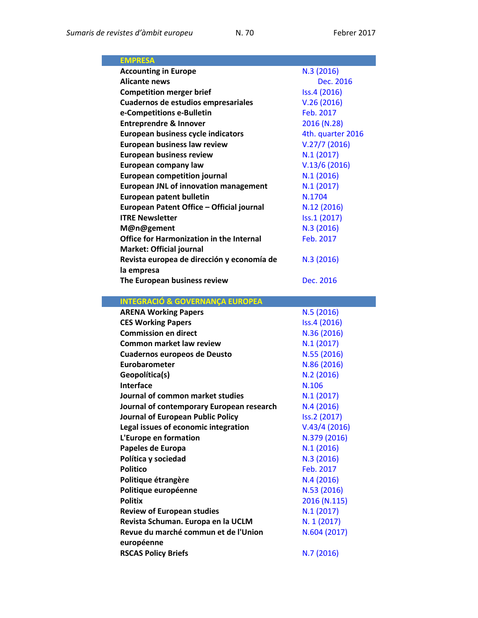| <b>EMPRESA</b>                                  |                   |
|-------------------------------------------------|-------------------|
| <b>Accounting in Europe</b>                     | N.3(2016)         |
| <b>Alicante news</b>                            | Dec. 2016         |
| <b>Competition merger brief</b>                 | Iss.4 (2016)      |
| Cuadernos de estudios empresariales             | V.26(2016)        |
| e-Competitions e-Bulletin                       | Feb. 2017         |
| <b>Entreprendre &amp; Innover</b>               | 2016 (N.28)       |
| <b>European business cycle indicators</b>       | 4th. quarter 2016 |
| European business law review                    | V.27/7(2016)      |
| <b>European business review</b>                 | N.1(2017)         |
| <b>European company law</b>                     | V.13/6(2016)      |
| <b>European competition journal</b>             | N.1(2016)         |
| <b>European JNL of innovation management</b>    | N.1(2017)         |
| <b>European patent bulletin</b>                 | N.1704            |
| European Patent Office - Official journal       | N.12 (2016)       |
| <b>ITRE Newsletter</b>                          | Iss.1 (2017)      |
| M@n@gement                                      | N.3(2016)         |
| <b>Office for Harmonization in the Internal</b> | Feb. 2017         |
| <b>Market: Official journal</b>                 |                   |
| Revista europea de dirección y economía de      | N.3(2016)         |
| la empresa                                      |                   |
| The European business review                    | Dec. 2016         |
|                                                 |                   |
| <b>INTEGRACIÓ &amp; GOVERNANÇA EUROPEA</b>      |                   |
|                                                 |                   |
| <b>ARENA Working Papers</b>                     | N.5(2016)         |
| <b>CES Working Papers</b>                       | Iss.4 (2016)      |
| <b>Commission en direct</b>                     | N.36 (2016)       |
| <b>Common market law review</b>                 | N.1(2017)         |
| <b>Cuadernos europeos de Deusto</b>             | N.55 (2016)       |
| Eurobarometer                                   | N.86 (2016)       |
| Geopolítica(s)                                  | N.2 (2016)        |
| Interface                                       | N.106             |
| Journal of common market studies                | N.1(2017)         |
| Journal of contemporary European research       | N.4 (2016)        |
| Journal of European Public Policy               | Iss.2 (2017)      |
| Legal issues of economic integration            | V.43/4(2016)      |
| L'Europe en formation                           | N.379 (2016)      |
| Papeles de Europa                               | N.1(2016)         |
| Política y sociedad                             | N.3 (2016)        |
| <b>Politico</b>                                 | Feb. 2017         |
| Politique étrangère                             | N.4(2016)         |
| Politique européenne                            | N.53 (2016)       |
| <b>Politix</b>                                  | 2016 (N.115)      |
| <b>Review of European studies</b>               | N.1(2017)         |
| Revista Schuman. Europa en la UCLM              | N. 1 (2017)       |
| Revue du marché commun et de l'Union            | N.604 (2017)      |
| européenne<br><b>RSCAS Policy Briefs</b>        | N.7 (2016)        |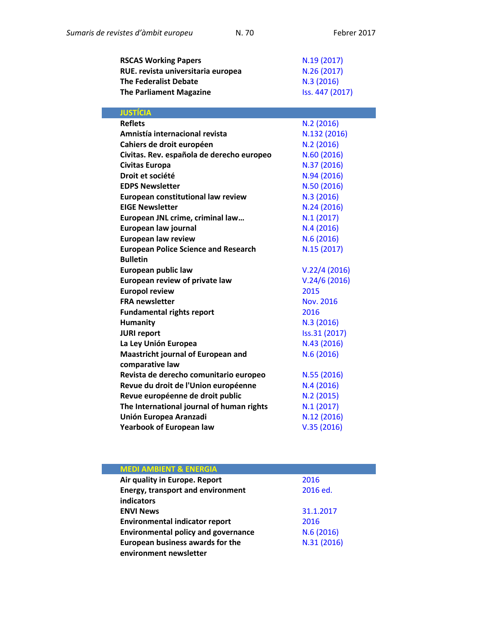| <b>RSCAS Working Papers</b>        | N.19(2017)      |
|------------------------------------|-----------------|
| RUE. revista universitaria europea | N.26(2017)      |
| <b>The Federalist Debate</b>       | N.3(2016)       |
| <b>The Parliament Magazine</b>     | Iss. 447 (2017) |

| <b>JUSTÍCIA</b>                             |                  |
|---------------------------------------------|------------------|
| <b>Reflets</b>                              | N.2(2016)        |
| Amnistía internacional revista              | N.132 (2016)     |
| Cahiers de droit européen                   | N.2 (2016)       |
| Civitas. Rev. española de derecho europeo   | N.60(2016)       |
| Civitas Europa                              | N.37 (2016)      |
| Droit et société                            | N.94 (2016)      |
| <b>EDPS Newsletter</b>                      | N.50 (2016)      |
| <b>European constitutional law review</b>   | N.3(2016)        |
| <b>EIGE Newsletter</b>                      | N.24(2016)       |
| European JNL crime, criminal law            | N.1(2017)        |
| European law journal                        | N.4(2016)        |
| <b>European law review</b>                  | N.6(2016)        |
| <b>European Police Science and Research</b> | N.15 (2017)      |
| <b>Bulletin</b>                             |                  |
| European public law                         | V.22/4(2016)     |
| European review of private law              | V.24/6(2016)     |
| <b>Europol review</b>                       | 2015             |
| <b>FRA</b> newsletter                       | <b>Nov. 2016</b> |
| <b>Fundamental rights report</b>            | 2016             |
| <b>Humanity</b>                             | N.3(2016)        |
| <b>JURI report</b>                          | Iss.31 (2017)    |
| La Ley Unión Europea                        | N.43 (2016)      |
| <b>Maastricht journal of European and</b>   | N.6(2016)        |
| comparative law                             |                  |
| Revista de derecho comunitario europeo      | N.55 (2016)      |
| Revue du droit de l'Union européenne        | N.4(2016)        |
| Revue européenne de droit public            | N.2 (2015)       |
| The International journal of human rights   | N.1(2017)        |
| Unión Europea Aranzadi                      | N.12 (2016)      |
| <b>Yearbook of European law</b>             | V.35(2016)       |

| <b>MEDI AMBIENT &amp; ENERGIA</b>          |             |
|--------------------------------------------|-------------|
| Air quality in Europe. Report              | 2016        |
| <b>Energy, transport and environment</b>   | 2016 ed.    |
| indicators                                 |             |
| <b>ENVI News</b>                           | 31.1.2017   |
| <b>Environmental indicator report</b>      | 2016        |
| <b>Environmental policy and governance</b> | N.6(2016)   |
| <b>European business awards for the</b>    | N.31 (2016) |
| environment newsletter                     |             |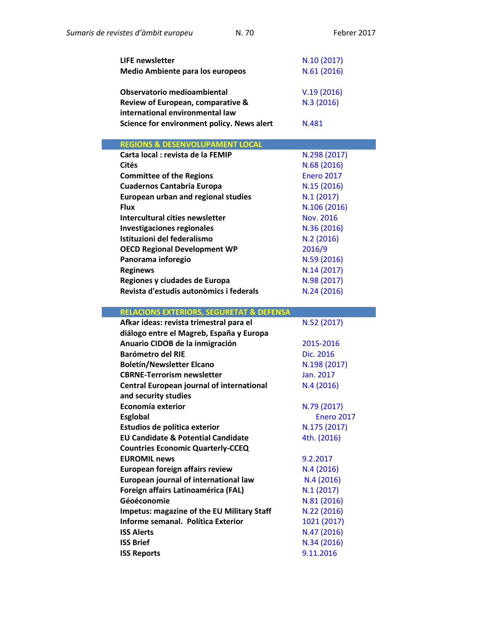| <b>LIFE newsletter</b>                                  | N.10 (2017)                |
|---------------------------------------------------------|----------------------------|
| <b>Medio Ambiente para los europeos</b>                 | N.61 (2016)                |
|                                                         |                            |
| Observatorio medioambiental                             | V.19(2016)                 |
| Review of European, comparative &                       | N.3(2016)                  |
| international environmental law                         |                            |
| Science for environment policy. News alert              | N.481                      |
|                                                         |                            |
| <b>REGIONS &amp; DESENVOLUPAMENT LOCAL</b>              |                            |
| Carta local : revista de la FEMIP                       | N.298 (2017)               |
| Cités                                                   | N.68 (2016)                |
| <b>Committee of the Regions</b>                         | <b>Enero 2017</b>          |
| <b>Cuadernos Cantabria Europa</b>                       | N.15 (2016)                |
| <b>European urban and regional studies</b>              | N.1(2017)                  |
| <b>Flux</b>                                             | N.106 (2016)               |
| Intercultural cities newsletter                         | <b>Nov. 2016</b>           |
| <b>Investigaciones regionales</b>                       | N.36 (2016)                |
| Istituzioni del federalismo                             | N.2(2016)                  |
| <b>OECD Regional Development WP</b>                     | 2016/9                     |
| Panorama inforegio                                      | N.59 (2016)                |
| <b>Reginews</b>                                         | N.14(2017)                 |
| Regiones y ciudades de Europa                           | N.98 (2017)                |
| Revista d'estudis autonòmics i federals                 | N.24 (2016)                |
|                                                         |                            |
| <b>RELACIONS EXTERIORS, SEGURETAT &amp; DEFENSA</b>     |                            |
| Afkar ideas: revista trimestral para el                 | N.52 (2017)                |
| diálogo entre el Magreb, España y Europa                |                            |
| Anuario CIDOB de la inmigración                         | 2015-2016                  |
| <b>Barómetro del RIE</b>                                | Dic. 2016                  |
| <b>Boletín/Newsletter Elcano</b>                        | N.198 (2017)               |
| <b>CBRNE-Terrorism newsletter</b>                       | Jan. 2017                  |
| <b>Central European journal of international</b>        | N.4(2016)                  |
| and security studies                                    |                            |
| Economía exterior                                       | N.79 (2017)                |
| <b>Esglobal</b>                                         | <b>Enero 2017</b>          |
| Estudios de política exterior                           | N.175 (2017)               |
| <b>EU Candidate &amp; Potential Candidate</b>           | 4th. (2016)                |
| <b>Countries Economic Quarterly-CCEQ</b>                |                            |
| <b>EUROMIL news</b>                                     | 9.2.2017                   |
| <b>European foreign affairs review</b>                  | N.4(2016)                  |
|                                                         |                            |
| European journal of international law                   | N.4(2016)                  |
| Foreign affairs Latinoamérica (FAL)                     | N.1(2017)                  |
| Géoéconomie                                             | N.81 (2016)                |
| <b>Impetus: magazine of the EU Military Staff</b>       | N.22 (2016)                |
| Informe semanal. Política Exterior<br><b>ISS Alerts</b> | 1021 (2017)<br>N.47 (2016) |

**ISS Brief** N.34 [\(2016\)](http://www.iss.europa.eu/publications/detail/article/winter-is-coming-chilly-winds-across-northern-europe/)

**ISS Reports**